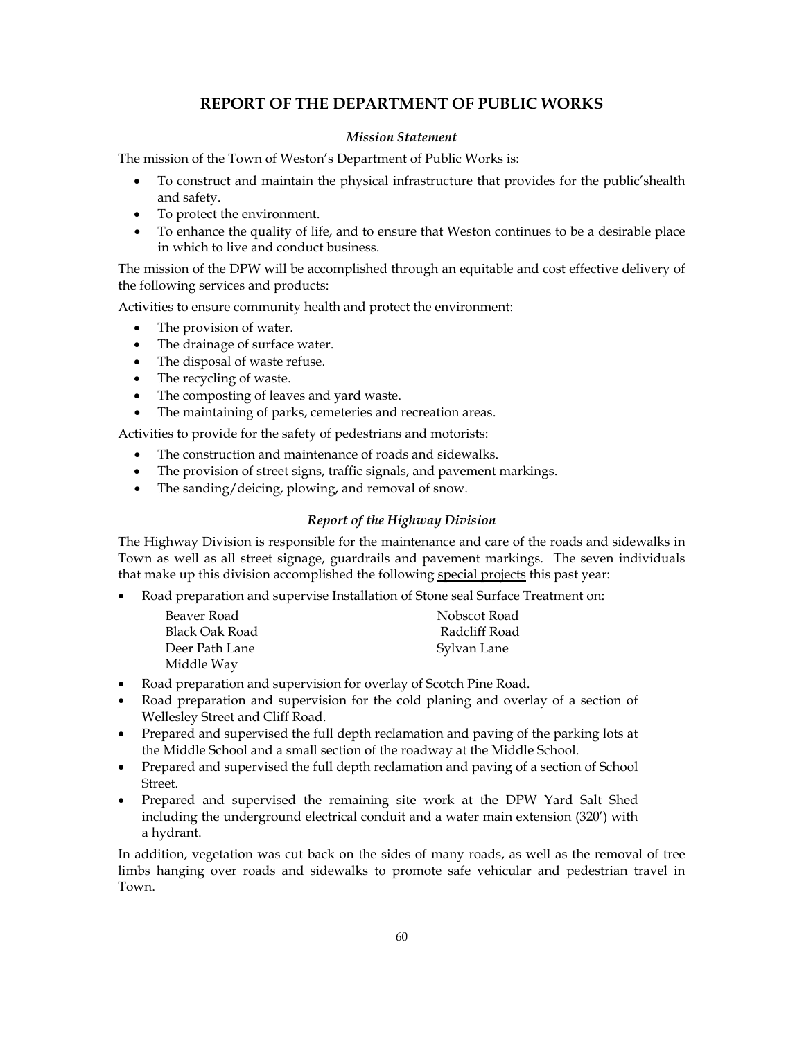# **REPORT OF THE DEPARTMENT OF PUBLIC WORKS**

# *Mission Statement*

The mission of the Town of Weston's Department of Public Works is:

- To construct and maintain the physical infrastructure that provides for the public'shealth and safety.
- To protect the environment.
- To enhance the quality of life, and to ensure that Weston continues to be a desirable place in which to live and conduct business.

The mission of the DPW will be accomplished through an equitable and cost effective delivery of the following services and products:

Activities to ensure community health and protect the environment:

- The provision of water.
- The drainage of surface water.
- The disposal of waste refuse.
- The recycling of waste.
- The composting of leaves and yard waste.
- The maintaining of parks, cemeteries and recreation areas.

Activities to provide for the safety of pedestrians and motorists:

- The construction and maintenance of roads and sidewalks.
- The provision of street signs, traffic signals, and pavement markings.
- The sanding/deicing, plowing, and removal of snow.

## *Report of the Highway Division*

The Highway Division is responsible for the maintenance and care of the roads and sidewalks in Town as well as all street signage, guardrails and pavement markings. The seven individuals that make up this division accomplished the following special projects this past year:

• Road preparation and supervise Installation of Stone seal Surface Treatment on:

| Beaver Road    | Nobscot Road  |
|----------------|---------------|
| Black Oak Road | Radcliff Road |
| Deer Path Lane | Sylvan Lane   |
| Middle Way     |               |

- Road preparation and supervision for overlay of Scotch Pine Road.
- Road preparation and supervision for the cold planing and overlay of a section of Wellesley Street and Cliff Road.
- Prepared and supervised the full depth reclamation and paving of the parking lots at the Middle School and a small section of the roadway at the Middle School.
- Prepared and supervised the full depth reclamation and paving of a section of School Street.
- Prepared and supervised the remaining site work at the DPW Yard Salt Shed including the underground electrical conduit and a water main extension (320') with a hydrant.

In addition, vegetation was cut back on the sides of many roads, as well as the removal of tree limbs hanging over roads and sidewalks to promote safe vehicular and pedestrian travel in Town.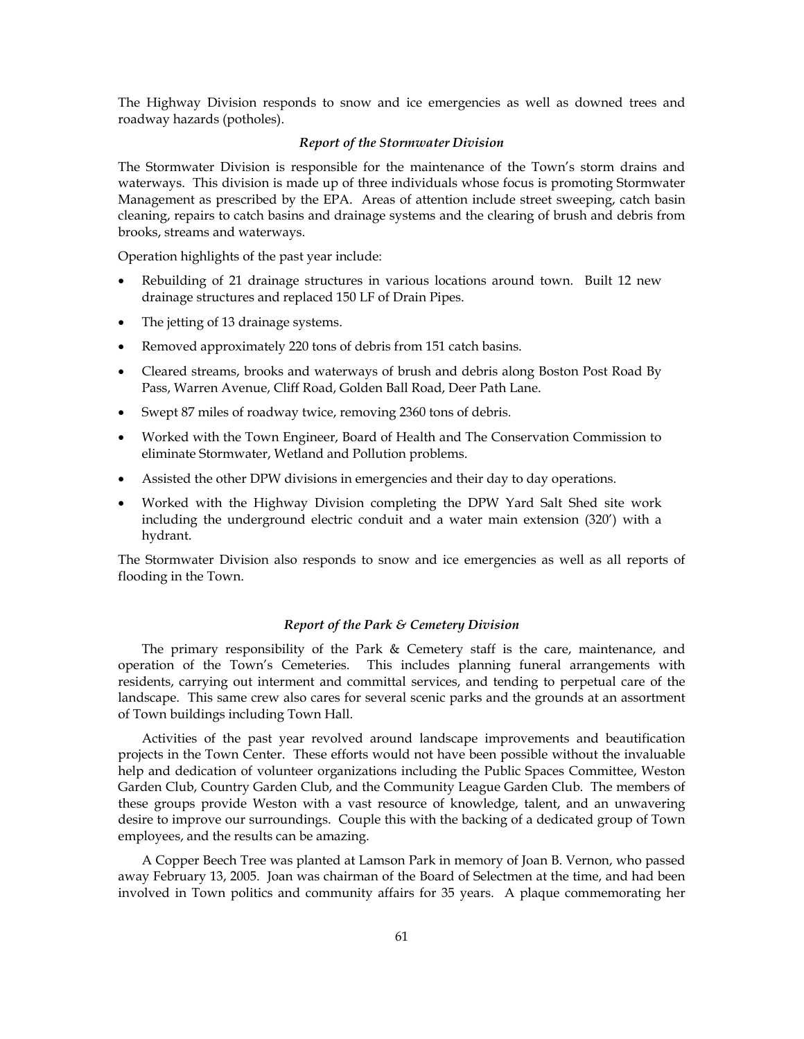The Highway Division responds to snow and ice emergencies as well as downed trees and roadway hazards (potholes).

### *Report of the Stormwater Division*

The Stormwater Division is responsible for the maintenance of the Town's storm drains and waterways. This division is made up of three individuals whose focus is promoting Stormwater Management as prescribed by the EPA. Areas of attention include street sweeping, catch basin cleaning, repairs to catch basins and drainage systems and the clearing of brush and debris from brooks, streams and waterways.

Operation highlights of the past year include:

- Rebuilding of 21 drainage structures in various locations around town. Built 12 new drainage structures and replaced 150 LF of Drain Pipes.
- The jetting of 13 drainage systems.
- Removed approximately 220 tons of debris from 151 catch basins.
- Cleared streams, brooks and waterways of brush and debris along Boston Post Road By Pass, Warren Avenue, Cliff Road, Golden Ball Road, Deer Path Lane.
- Swept 87 miles of roadway twice, removing 2360 tons of debris.
- Worked with the Town Engineer, Board of Health and The Conservation Commission to eliminate Stormwater, Wetland and Pollution problems.
- Assisted the other DPW divisions in emergencies and their day to day operations.
- Worked with the Highway Division completing the DPW Yard Salt Shed site work including the underground electric conduit and a water main extension (320') with a hydrant.

The Stormwater Division also responds to snow and ice emergencies as well as all reports of flooding in the Town.

## *Report of the Park & Cemetery Division*

The primary responsibility of the Park & Cemetery staff is the care, maintenance, and operation of the Town's Cemeteries. This includes planning funeral arrangements with residents, carrying out interment and committal services, and tending to perpetual care of the landscape. This same crew also cares for several scenic parks and the grounds at an assortment of Town buildings including Town Hall.

Activities of the past year revolved around landscape improvements and beautification projects in the Town Center. These efforts would not have been possible without the invaluable help and dedication of volunteer organizations including the Public Spaces Committee, Weston Garden Club, Country Garden Club, and the Community League Garden Club. The members of these groups provide Weston with a vast resource of knowledge, talent, and an unwavering desire to improve our surroundings. Couple this with the backing of a dedicated group of Town employees, and the results can be amazing.

A Copper Beech Tree was planted at Lamson Park in memory of Joan B. Vernon, who passed away February 13, 2005. Joan was chairman of the Board of Selectmen at the time, and had been involved in Town politics and community affairs for 35 years. A plaque commemorating her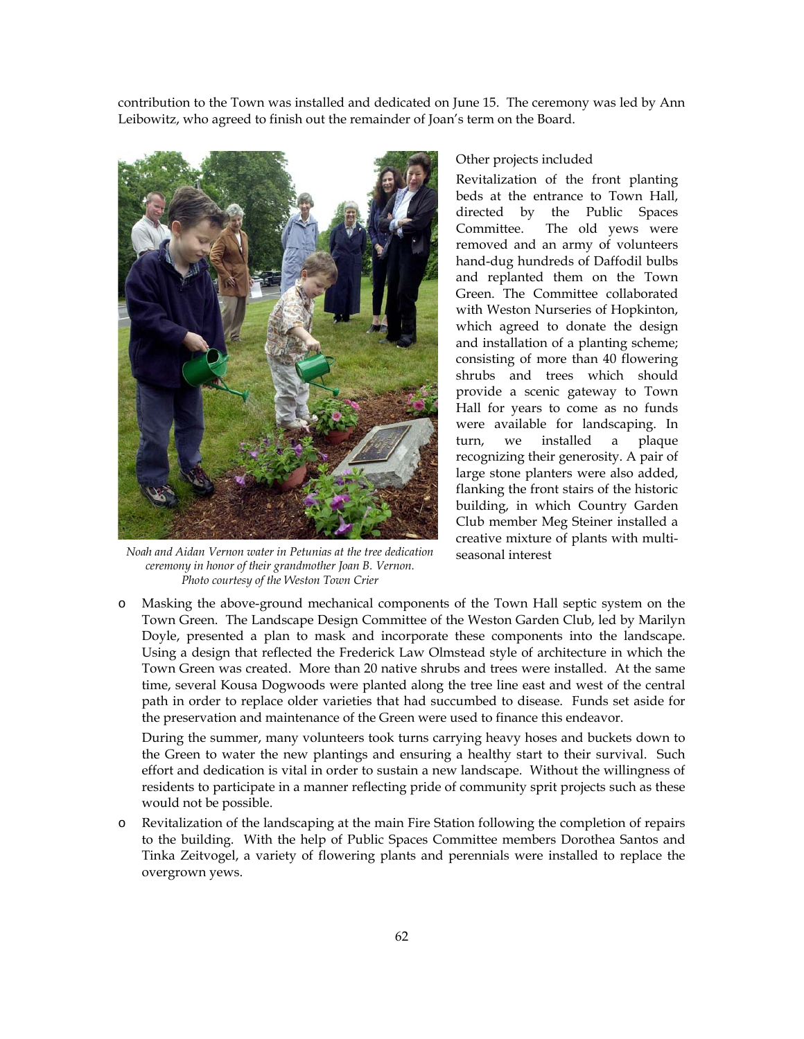contribution to the Town was installed and dedicated on June 15. The ceremony was led by Ann Leibowitz, who agreed to finish out the remainder of Joan's term on the Board.



*Noah and Aidan Vernon water in Petunias at the tree dedication ceremony in honor of their grandmother Joan B. Vernon. Photo courtesy of the Weston Town Crier*

## Other projects included

Revitalization of the front planting beds at the entrance to Town Hall, directed by the Public Spaces Committee. The old yews were removed and an army of volunteers hand-dug hundreds of Daffodil bulbs and replanted them on the Town Green. The Committee collaborated with Weston Nurseries of Hopkinton, which agreed to donate the design and installation of a planting scheme; consisting of more than 40 flowering shrubs and trees which should provide a scenic gateway to Town Hall for years to come as no funds were available for landscaping. In turn, we installed a plaque recognizing their generosity. A pair of large stone planters were also added, flanking the front stairs of the historic building, in which Country Garden Club member Meg Steiner installed a creative mixture of plants with multiseasonal interest

o Masking the above-ground mechanical components of the Town Hall septic system on the Town Green. The Landscape Design Committee of the Weston Garden Club, led by Marilyn Doyle, presented a plan to mask and incorporate these components into the landscape. Using a design that reflected the Frederick Law Olmstead style of architecture in which the Town Green was created. More than 20 native shrubs and trees were installed. At the same time, several Kousa Dogwoods were planted along the tree line east and west of the central path in order to replace older varieties that had succumbed to disease. Funds set aside for the preservation and maintenance of the Green were used to finance this endeavor.

During the summer, many volunteers took turns carrying heavy hoses and buckets down to the Green to water the new plantings and ensuring a healthy start to their survival. Such effort and dedication is vital in order to sustain a new landscape. Without the willingness of residents to participate in a manner reflecting pride of community sprit projects such as these would not be possible.

o Revitalization of the landscaping at the main Fire Station following the completion of repairs to the building. With the help of Public Spaces Committee members Dorothea Santos and Tinka Zeitvogel, a variety of flowering plants and perennials were installed to replace the overgrown yews.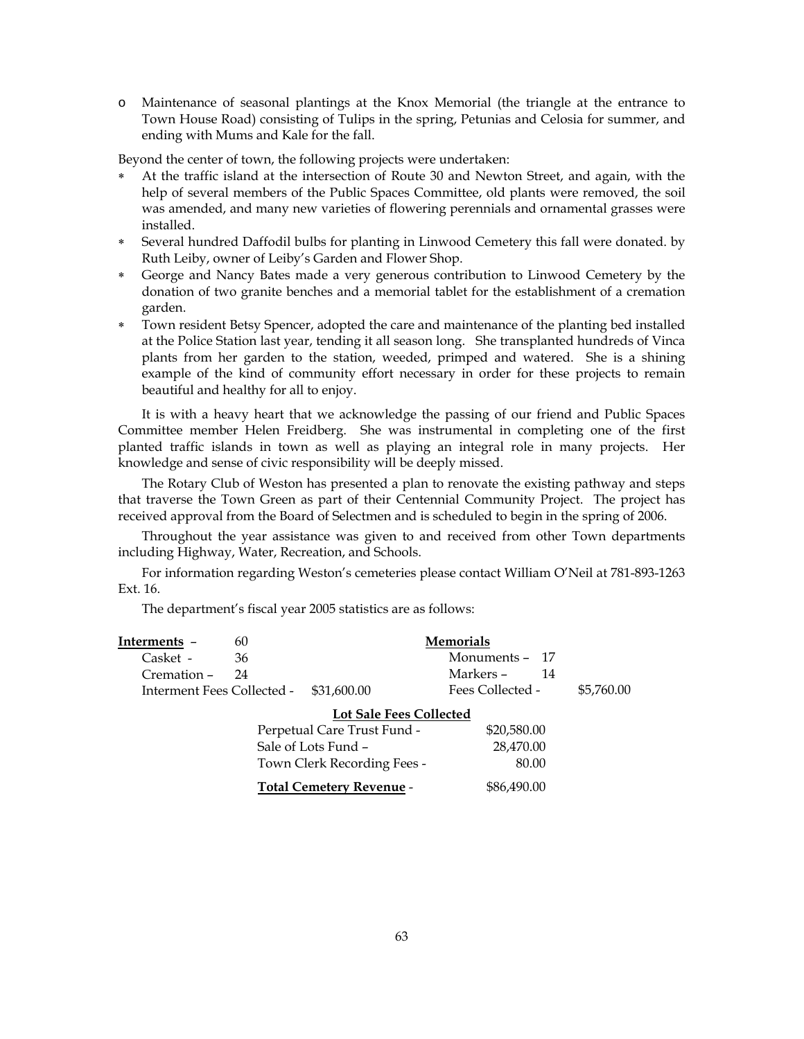o Maintenance of seasonal plantings at the Knox Memorial (the triangle at the entrance to Town House Road) consisting of Tulips in the spring, Petunias and Celosia for summer, and ending with Mums and Kale for the fall.

Beyond the center of town, the following projects were undertaken:

- At the traffic island at the intersection of Route 30 and Newton Street, and again, with the help of several members of the Public Spaces Committee, old plants were removed, the soil was amended, and many new varieties of flowering perennials and ornamental grasses were installed.
- Several hundred Daffodil bulbs for planting in Linwood Cemetery this fall were donated. by Ruth Leiby, owner of Leiby's Garden and Flower Shop.
- George and Nancy Bates made a very generous contribution to Linwood Cemetery by the donation of two granite benches and a memorial tablet for the establishment of a cremation garden.
- Town resident Betsy Spencer, adopted the care and maintenance of the planting bed installed at the Police Station last year, tending it all season long. She transplanted hundreds of Vinca plants from her garden to the station, weeded, primped and watered. She is a shining example of the kind of community effort necessary in order for these projects to remain beautiful and healthy for all to enjoy.

It is with a heavy heart that we acknowledge the passing of our friend and Public Spaces Committee member Helen Freidberg. She was instrumental in completing one of the first planted traffic islands in town as well as playing an integral role in many projects. Her knowledge and sense of civic responsibility will be deeply missed.

The Rotary Club of Weston has presented a plan to renovate the existing pathway and steps that traverse the Town Green as part of their Centennial Community Project. The project has received approval from the Board of Selectmen and is scheduled to begin in the spring of 2006.

Throughout the year assistance was given to and received from other Town departments including Highway, Water, Recreation, and Schools.

For information regarding Weston's cemeteries please contact William O'Neil at 781-893-1263 Ext. 16.

The department's fiscal year 2005 statistics are as follows:

| Interments -                   | 60                                     | <b>Memorials</b>                |                  |            |  |
|--------------------------------|----------------------------------------|---------------------------------|------------------|------------|--|
| Casket -                       | 36                                     |                                 | Monuments - 17   |            |  |
| Cremation –                    | 24                                     |                                 | Markers –<br>-14 |            |  |
|                                | Interment Fees Collected - \$31,600.00 |                                 | Fees Collected - | \$5,760.00 |  |
| <b>Lot Sale Fees Collected</b> |                                        |                                 |                  |            |  |
|                                |                                        | Perpetual Care Trust Fund -     | \$20,580.00      |            |  |
|                                |                                        | Sale of Lots Fund -             | 28,470.00        |            |  |
|                                |                                        | Town Clerk Recording Fees -     | 80.00            |            |  |
|                                |                                        | <b>Total Cemetery Revenue -</b> | \$86,490.00      |            |  |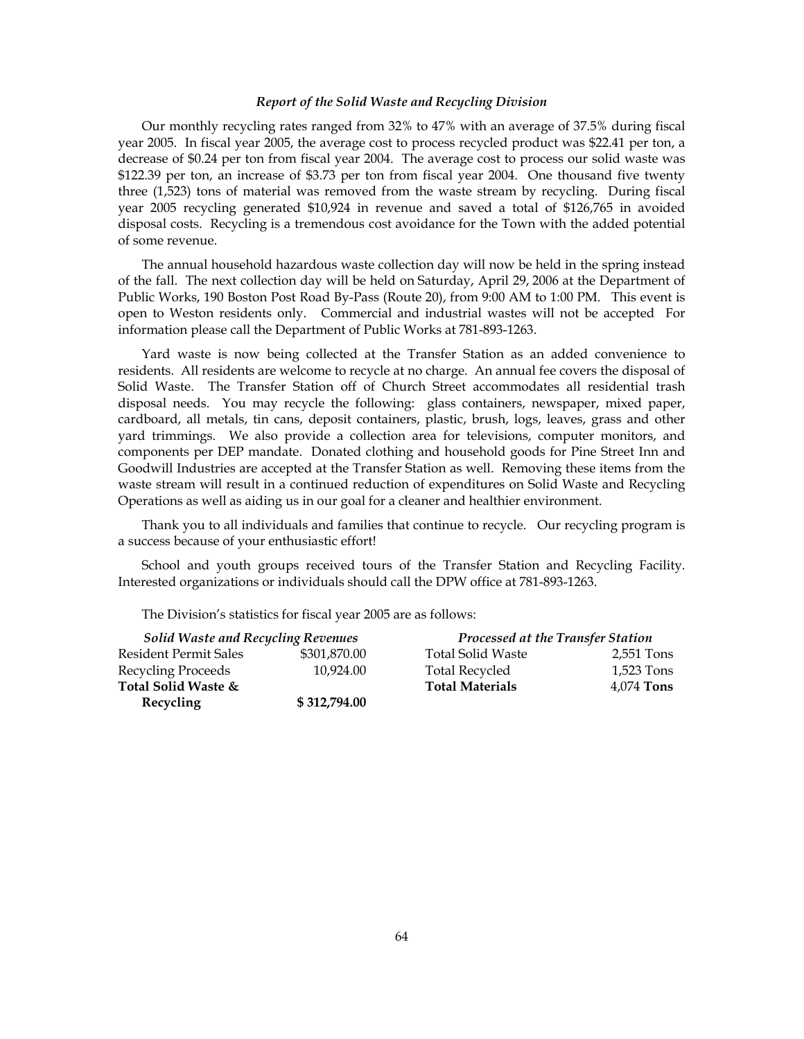### *Report of the Solid Waste and Recycling Division*

Our monthly recycling rates ranged from 32% to 47% with an average of 37.5% during fiscal year 2005. In fiscal year 2005, the average cost to process recycled product was \$22.41 per ton, a decrease of \$0.24 per ton from fiscal year 2004. The average cost to process our solid waste was \$122.39 per ton, an increase of \$3.73 per ton from fiscal year 2004. One thousand five twenty three (1,523) tons of material was removed from the waste stream by recycling. During fiscal year 2005 recycling generated \$10,924 in revenue and saved a total of \$126,765 in avoided disposal costs. Recycling is a tremendous cost avoidance for the Town with the added potential of some revenue.

The annual household hazardous waste collection day will now be held in the spring instead of the fall. The next collection day will be held on Saturday, April 29, 2006 at the Department of Public Works, 190 Boston Post Road By-Pass (Route 20), from 9:00 AM to 1:00 PM. This event is open to Weston residents only. Commercial and industrial wastes will not be accepted For information please call the Department of Public Works at 781-893-1263.

Yard waste is now being collected at the Transfer Station as an added convenience to residents. All residents are welcome to recycle at no charge. An annual fee covers the disposal of Solid Waste. The Transfer Station off of Church Street accommodates all residential trash disposal needs. You may recycle the following: glass containers, newspaper, mixed paper, cardboard, all metals, tin cans, deposit containers, plastic, brush, logs, leaves, grass and other yard trimmings. We also provide a collection area for televisions, computer monitors, and components per DEP mandate. Donated clothing and household goods for Pine Street Inn and Goodwill Industries are accepted at the Transfer Station as well. Removing these items from the waste stream will result in a continued reduction of expenditures on Solid Waste and Recycling Operations as well as aiding us in our goal for a cleaner and healthier environment.

Thank you to all individuals and families that continue to recycle. Our recycling program is a success because of your enthusiastic effort!

School and youth groups received tours of the Transfer Station and Recycling Facility. Interested organizations or individuals should call the DPW office at 781-893-1263.

The Division's statistics for fiscal year 2005 are as follows:

| <b>Solid Waste and Recycling Revenues</b> |              | Processed at the Transfer Station |              |
|-------------------------------------------|--------------|-----------------------------------|--------------|
| <b>Resident Permit Sales</b>              | \$301,870.00 | <b>Total Solid Waste</b>          | 2,551 Tons   |
| Recycling Proceeds                        | 10.924.00    | <b>Total Recycled</b>             | 1,523 Tons   |
| Total Solid Waste &                       |              | <b>Total Materials</b>            | $4.074$ Tons |
| Recycling                                 | \$312,794.00 |                                   |              |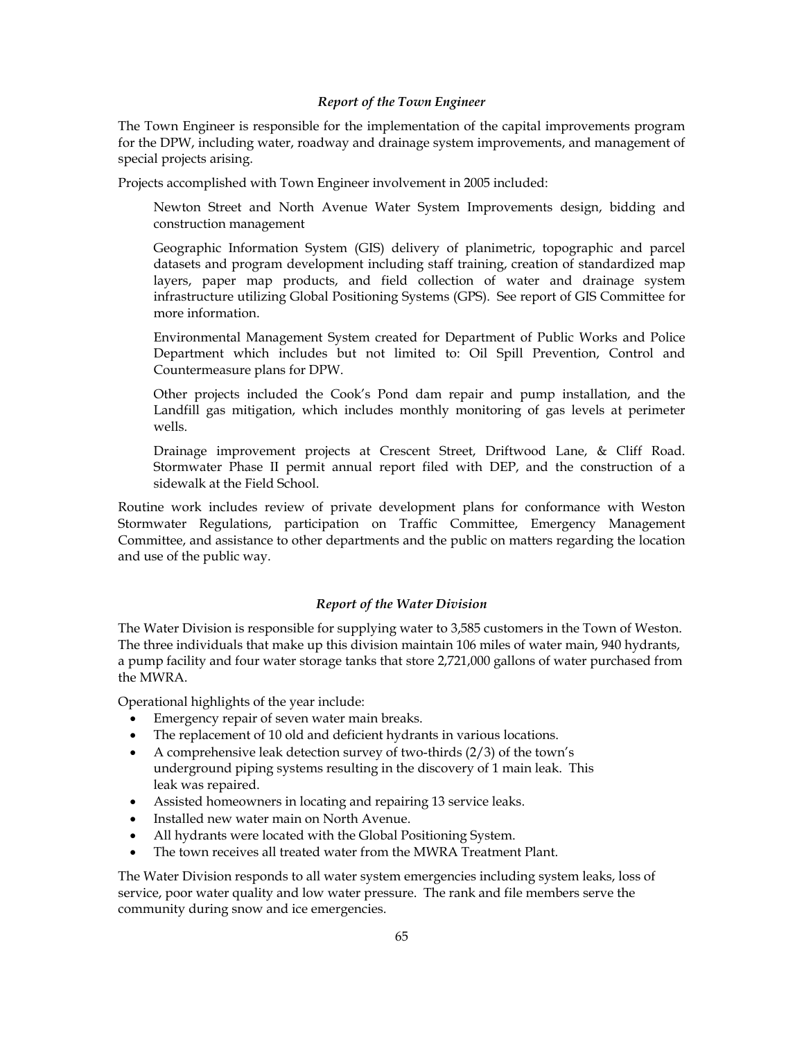## *Report of the Town Engineer*

The Town Engineer is responsible for the implementation of the capital improvements program for the DPW, including water, roadway and drainage system improvements, and management of special projects arising.

Projects accomplished with Town Engineer involvement in 2005 included:

- Newton Street and North Avenue Water System Improvements design, bidding and construction management
- Geographic Information System (GIS) delivery of planimetric, topographic and parcel datasets and program development including staff training, creation of standardized map layers, paper map products, and field collection of water and drainage system infrastructure utilizing Global Positioning Systems (GPS). See report of GIS Committee for more information.
- Environmental Management System created for Department of Public Works and Police Department which includes but not limited to: Oil Spill Prevention, Control and Countermeasure plans for DPW.
- Other projects included the Cook's Pond dam repair and pump installation, and the Landfill gas mitigation, which includes monthly monitoring of gas levels at perimeter wells.
- Drainage improvement projects at Crescent Street, Driftwood Lane, & Cliff Road. Stormwater Phase II permit annual report filed with DEP, and the construction of a sidewalk at the Field School.

Routine work includes review of private development plans for conformance with Weston Stormwater Regulations, participation on Traffic Committee, Emergency Management Committee, and assistance to other departments and the public on matters regarding the location and use of the public way.

# *Report of the Water Division*

The Water Division is responsible for supplying water to 3,585 customers in the Town of Weston. The three individuals that make up this division maintain 106 miles of water main, 940 hydrants, a pump facility and four water storage tanks that store 2,721,000 gallons of water purchased from the MWRA.

Operational highlights of the year include:

- Emergency repair of seven water main breaks.
- The replacement of 10 old and deficient hydrants in various locations.
- A comprehensive leak detection survey of two-thirds (2/3) of the town's underground piping systems resulting in the discovery of 1 main leak. This leak was repaired.
- Assisted homeowners in locating and repairing 13 service leaks.
- Installed new water main on North Avenue.
- All hydrants were located with the Global Positioning System.
- The town receives all treated water from the MWRA Treatment Plant.

The Water Division responds to all water system emergencies including system leaks, loss of service, poor water quality and low water pressure. The rank and file members serve the community during snow and ice emergencies.